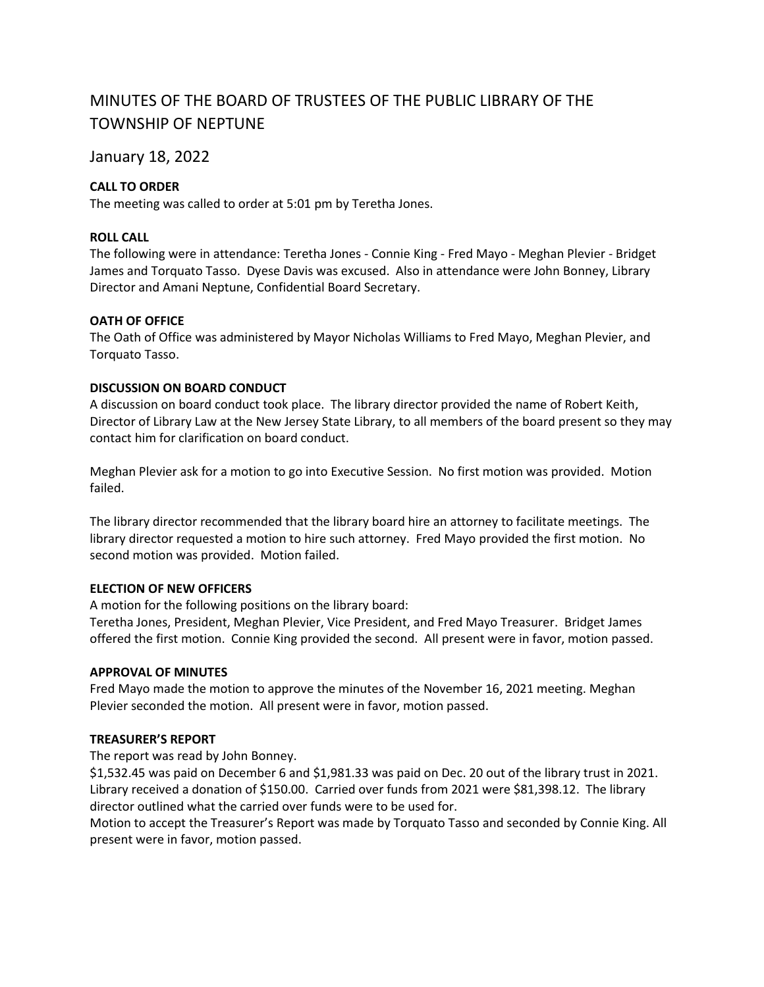# MINUTES OF THE BOARD OF TRUSTEES OF THE PUBLIC LIBRARY OF THE TOWNSHIP OF NEPTUNE

## January 18, 2022

## **CALL TO ORDER**

The meeting was called to order at 5:01 pm by Teretha Jones.

## **ROLL CALL**

The following were in attendance: Teretha Jones - Connie King - Fred Mayo - Meghan Plevier - Bridget James and Torquato Tasso. Dyese Davis was excused. Also in attendance were John Bonney, Library Director and Amani Neptune, Confidential Board Secretary.

### **OATH OF OFFICE**

The Oath of Office was administered by Mayor Nicholas Williams to Fred Mayo, Meghan Plevier, and Torquato Tasso.

### **DISCUSSION ON BOARD CONDUCT**

A discussion on board conduct took place. The library director provided the name of Robert Keith, Director of Library Law at the New Jersey State Library, to all members of the board present so they may contact him for clarification on board conduct.

Meghan Plevier ask for a motion to go into Executive Session. No first motion was provided. Motion failed.

The library director recommended that the library board hire an attorney to facilitate meetings. The library director requested a motion to hire such attorney. Fred Mayo provided the first motion. No second motion was provided. Motion failed.

## **ELECTION OF NEW OFFICERS**

A motion for the following positions on the library board:

Teretha Jones, President, Meghan Plevier, Vice President, and Fred Mayo Treasurer. Bridget James offered the first motion. Connie King provided the second. All present were in favor, motion passed.

### **APPROVAL OF MINUTES**

Fred Mayo made the motion to approve the minutes of the November 16, 2021 meeting. Meghan Plevier seconded the motion. All present were in favor, motion passed.

## **TREASURER'S REPORT**

The report was read by John Bonney.

\$1,532.45 was paid on December 6 and \$1,981.33 was paid on Dec. 20 out of the library trust in 2021. Library received a donation of \$150.00. Carried over funds from 2021 were \$81,398.12. The library director outlined what the carried over funds were to be used for.

Motion to accept the Treasurer's Report was made by Torquato Tasso and seconded by Connie King. All present were in favor, motion passed.